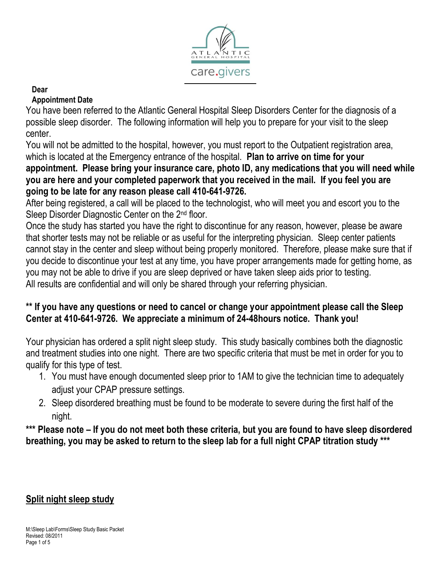

#### **Dear**

#### **Appointment Date**

You have been referred to the Atlantic General Hospital Sleep Disorders Center for the diagnosis of a possible sleep disorder. The following information will help you to prepare for your visit to the sleep center.

You will not be admitted to the hospital, however, you must report to the Outpatient registration area, which is located at the Emergency entrance of the hospital. **Plan to arrive on time for your appointment. Please bring your insurance care, photo ID, any medications that you will need while you are here and your completed paperwork that you received in the mail. If you feel you are going to be late for any reason please call 410-641-9726.**

After being registered, a call will be placed to the technologist, who will meet you and escort you to the Sleep Disorder Diagnostic Center on the 2<sup>nd</sup> floor.

Once the study has started you have the right to discontinue for any reason, however, please be aware that shorter tests may not be reliable or as useful for the interpreting physician. Sleep center patients cannot stay in the center and sleep without being properly monitored. Therefore, please make sure that if you decide to discontinue your test at any time, you have proper arrangements made for getting home, as you may not be able to drive if you are sleep deprived or have taken sleep aids prior to testing. All results are confidential and will only be shared through your referring physician.

## **\*\* If you have any questions or need to cancel or change your appointment please call the Sleep Center at 410-641-9726. We appreciate a minimum of 24-48hours notice. Thank you!**

Your physician has ordered a split night sleep study. This study basically combines both the diagnostic and treatment studies into one night. There are two specific criteria that must be met in order for you to qualify for this type of test.

- 1. You must have enough documented sleep prior to 1AM to give the technician time to adequately adjust your CPAP pressure settings.
- 2. Sleep disordered breathing must be found to be moderate to severe during the first half of the night.

**\*\*\* Please note – If you do not meet both these criteria, but you are found to have sleep disordered breathing, you may be asked to return to the sleep lab for a full night CPAP titration study \*\*\***

# **Split night sleep study**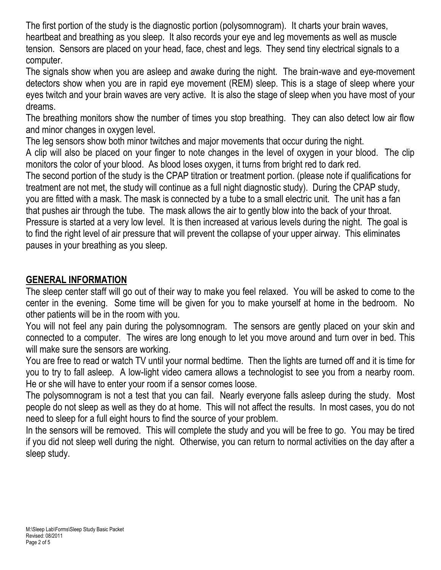The first portion of the study is the diagnostic portion (polysomnogram). It charts your brain waves, heartbeat and breathing as you sleep. It also records your eye and leg movements as well as muscle tension. Sensors are placed on your head, face, chest and legs. They send tiny electrical signals to a computer.

The signals show when you are asleep and awake during the night. The brain-wave and eye-movement detectors show when you are in rapid eye movement (REM) sleep. This is a stage of sleep where your eyes twitch and your brain waves are very active. It is also the stage of sleep when you have most of your dreams.

The breathing monitors show the number of times you stop breathing. They can also detect low air flow and minor changes in oxygen level.

The leg sensors show both minor twitches and major movements that occur during the night.

A clip will also be placed on your finger to note changes in the level of oxygen in your blood. The clip monitors the color of your blood. As blood loses oxygen, it turns from bright red to dark red.

The second portion of the study is the CPAP titration or treatment portion. (please note if qualifications for treatment are not met, the study will continue as a full night diagnostic study). During the CPAP study, you are fitted with a mask. The mask is connected by a tube to a small electric unit. The unit has a fan that pushes air through the tube. The mask allows the air to gently blow into the back of your throat. Pressure is started at a very low level. It is then increased at various levels during the night. The goal is to find the right level of air pressure that will prevent the collapse of your upper airway. This eliminates pauses in your breathing as you sleep.

# **GENERAL INFORMATION**

The sleep center staff will go out of their way to make you feel relaxed. You will be asked to come to the center in the evening. Some time will be given for you to make yourself at home in the bedroom. No other patients will be in the room with you.

You will not feel any pain during the polysomnogram. The sensors are gently placed on your skin and connected to a computer. The wires are long enough to let you move around and turn over in bed. This will make sure the sensors are working.

You are free to read or watch TV until your normal bedtime. Then the lights are turned off and it is time for you to try to fall asleep. A low-light video camera allows a technologist to see you from a nearby room. He or she will have to enter your room if a sensor comes loose.

The polysomnogram is not a test that you can fail. Nearly everyone falls asleep during the study. Most people do not sleep as well as they do at home. This will not affect the results. In most cases, you do not need to sleep for a full eight hours to find the source of your problem.

In the sensors will be removed. This will complete the study and you will be free to go. You may be tired if you did not sleep well during the night. Otherwise, you can return to normal activities on the day after a sleep study.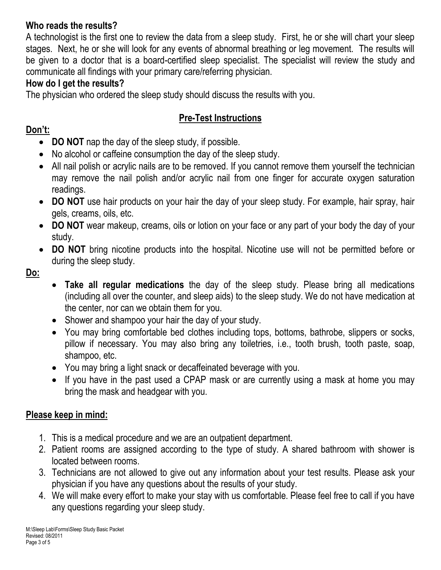# **Who reads the results?**

A technologist is the first one to review the data from a sleep study. First, he or she will chart your sleep stages. Next, he or she will look for any events of abnormal breathing or leg movement. The results will be given to a doctor that is a board-certified sleep specialist. The specialist will review the study and communicate all findings with your primary care/referring physician.

## **How do I get the results?**

The physician who ordered the sleep study should discuss the results with you.

# **Pre-Test Instructions**

## **Don't:**

- **DO NOT** nap the day of the sleep study, if possible.
- No alcohol or caffeine consumption the day of the sleep study.
- All nail polish or acrylic nails are to be removed. If you cannot remove them yourself the technician may remove the nail polish and/or acrylic nail from one finger for accurate oxygen saturation readings.
- **DO NOT** use hair products on your hair the day of your sleep study. For example, hair spray, hair gels, creams, oils, etc.
- **DO NOT** wear makeup, creams, oils or lotion on your face or any part of your body the day of your study.
- **DO NOT** bring nicotine products into the hospital. Nicotine use will not be permitted before or during the sleep study.

**Do:**

- **Take all regular medications** the day of the sleep study. Please bring all medications (including all over the counter, and sleep aids) to the sleep study. We do not have medication at the center, nor can we obtain them for you.
- Shower and shampoo your hair the day of your study.
- You may bring comfortable bed clothes including tops, bottoms, bathrobe, slippers or socks, pillow if necessary. You may also bring any toiletries, i.e., tooth brush, tooth paste, soap, shampoo, etc.
- You may bring a light snack or decaffeinated beverage with you.
- If you have in the past used a CPAP mask or are currently using a mask at home you may bring the mask and headgear with you.

# **Please keep in mind:**

- 1. This is a medical procedure and we are an outpatient department.
- 2. Patient rooms are assigned according to the type of study. A shared bathroom with shower is located between rooms.
- 3. Technicians are not allowed to give out any information about your test results. Please ask your physician if you have any questions about the results of your study.
- 4. We will make every effort to make your stay with us comfortable. Please feel free to call if you have any questions regarding your sleep study.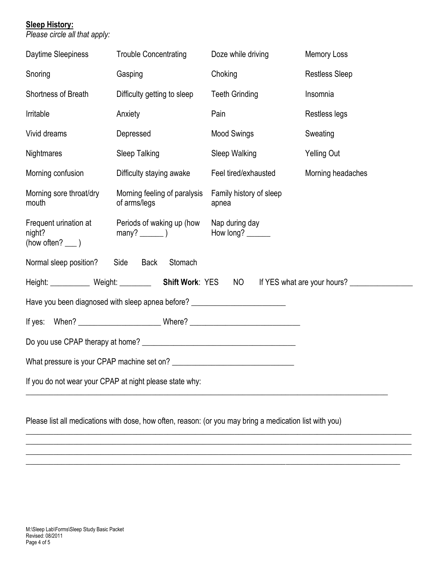#### **Sleep History:**

*Please circle all that apply:*

| Daytime Sleepiness                                                               | <b>Trouble Concentrating</b>                 | Doze while driving               | <b>Memory Loss</b>    |
|----------------------------------------------------------------------------------|----------------------------------------------|----------------------------------|-----------------------|
| Snoring                                                                          | Gasping                                      | Choking                          | <b>Restless Sleep</b> |
| Shortness of Breath                                                              | Difficulty getting to sleep                  | <b>Teeth Grinding</b>            | Insomnia              |
| Irritable                                                                        | Anxiety                                      | Pain                             | Restless legs         |
| Vivid dreams                                                                     | Depressed                                    | <b>Mood Swings</b>               | Sweating              |
| <b>Nightmares</b>                                                                | Sleep Talking                                | Sleep Walking                    | <b>Yelling Out</b>    |
| Morning confusion                                                                | Difficulty staying awake                     | Feel tired/exhausted             | Morning headaches     |
| Morning sore throat/dry<br>mouth                                                 | Morning feeling of paralysis<br>of arms/legs | Family history of sleep<br>apnea |                       |
| Frequent urination at<br>night?<br>(how often? $\rule{1em}{0.15mm}$ )            | Periods of waking up (how<br>$many?$ (1)     | Nap during day<br>How long?      |                       |
| Normal sleep position?<br>Side<br>Back<br>Stomach                                |                                              |                                  |                       |
| Height: Weight: Weight: <b>Shift Work: YES</b> NO<br>If YES what are your hours? |                                              |                                  |                       |
| Have you been diagnosed with sleep apnea before? _______________________________ |                                              |                                  |                       |
|                                                                                  |                                              |                                  |                       |
|                                                                                  |                                              |                                  |                       |
| What pressure is your CPAP machine set on?                                       |                                              |                                  |                       |
| If you do not wear your CPAP at night please state why:                          |                                              |                                  |                       |

Please list all medications with dose, how often, reason: (or you may bring a medication list with you)

 $\_$  , and the set of the set of the set of the set of the set of the set of the set of the set of the set of the set of the set of the set of the set of the set of the set of the set of the set of the set of the set of th  $\overline{\phantom{a}}$  , and the contribution of the contribution of the contribution of the contribution of the contribution of the contribution of the contribution of the contribution of the contribution of the contribution of the  $\overline{\phantom{a}}$  , and the contribution of the contribution of the contribution of the contribution of the contribution of the contribution of the contribution of the contribution of the contribution of the contribution of the \_\_\_\_\_\_\_\_\_\_\_\_\_\_\_\_\_\_\_\_\_\_\_\_\_\_\_\_\_\_\_\_\_\_\_\_\_\_\_\_\_\_\_\_\_\_\_\_\_\_\_\_\_\_\_\_\_\_\_\_\_\_\_\_\_\_\_\_\_\_\_\_\_\_\_\_\_\_\_\_\_\_\_\_\_\_\_\_\_\_\_\_\_\_\_